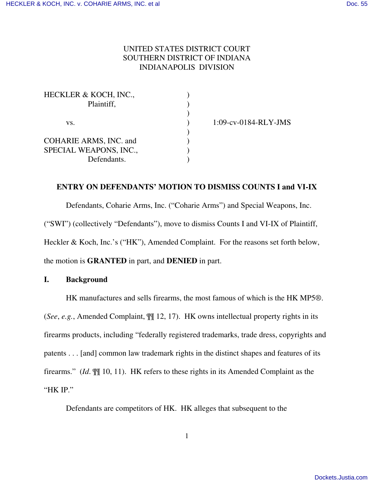# UNITED STATES DISTRICT COURT SOUTHERN DISTRICT OF INDIANA INDIANAPOLIS DIVISION

| <b>HECKLER &amp; KOCH, INC.,</b> |  |
|----------------------------------|--|
| Plaintiff,                       |  |
|                                  |  |
| VS.                              |  |
|                                  |  |
| <b>COHARIE ARMS, INC. and</b>    |  |
| SPECIAL WEAPONS, INC.,           |  |
| Defendants.                      |  |

) 1:09-cv-0184-RLY-JMS

### **ENTRY ON DEFENDANTS' MOTION TO DISMISS COUNTS I and VI-IX**

Defendants, Coharie Arms, Inc. ("Coharie Arms") and Special Weapons, Inc. ("SWI") (collectively "Defendants"), move to dismiss Counts I and VI-IX of Plaintiff, Heckler & Koch, Inc.'s ("HK"), Amended Complaint. For the reasons set forth below, the motion is **GRANTED** in part, and **DENIED** in part.

### **I. Background**

HK manufactures and sells firearms, the most famous of which is the HK MP5®. (*See*, *e.g.*, Amended Complaint, ¶¶ 12, 17). HK owns intellectual property rights in its firearms products, including "federally registered trademarks, trade dress, copyrights and patents . . . [and] common law trademark rights in the distinct shapes and features of its firearms." (*Id*. ¶¶ 10, 11). HK refers to these rights in its Amended Complaint as the "HK IP."

Defendants are competitors of HK. HK alleges that subsequent to the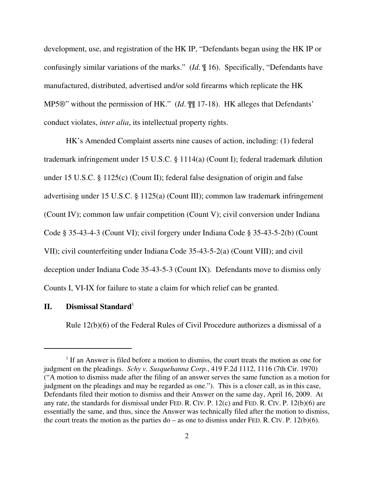development, use, and registration of the HK IP, "Defendants began using the HK IP or confusingly similar variations of the marks." (*Id*. ¶ 16). Specifically, "Defendants have manufactured, distributed, advertised and/or sold firearms which replicate the HK MP5®" without the permission of HK." (*Id*. ¶¶ 17-18). HK alleges that Defendants' conduct violates, *inter alia*, its intellectual property rights.

HK's Amended Complaint asserts nine causes of action, including: (1) federal trademark infringement under 15 U.S.C. § 1114(a) (Count I); federal trademark dilution under 15 U.S.C. § 1125(c) (Count II); federal false designation of origin and false advertising under 15 U.S.C. § 1125(a) (Count III); common law trademark infringement (Count IV); common law unfair competition (Count V); civil conversion under Indiana Code § 35-43-4-3 (Count VI); civil forgery under Indiana Code § 35-43-5-2(b) (Count VII); civil counterfeiting under Indiana Code 35-43-5-2(a) (Count VIII); and civil deception under Indiana Code 35-43-5-3 (Count IX). Defendants move to dismiss only Counts I, VI-IX for failure to state a claim for which relief can be granted.

## **II.** Dismissal Standard<sup>1</sup>

Rule 12(b)(6) of the Federal Rules of Civil Procedure authorizes a dismissal of a

<sup>&</sup>lt;sup>1</sup> If an Answer is filed before a motion to dismiss, the court treats the motion as one for judgment on the pleadings. *Schy v. Susquehanna Corp.*, 419 F.2d 1112, 1116 (7th Cir. 1970) ("A motion to dismiss made after the filing of an answer serves the same function as a motion for judgment on the pleadings and may be regarded as one."). This is a closer call, as in this case, Defendants filed their motion to dismiss and their Answer on the same day, April 16, 2009. At any rate, the standards for dismissal under FED. R. CIV. P. 12(c) and FED. R. CIV. P. 12(b)(6) are essentially the same, and thus, since the Answer was technically filed after the motion to dismiss, the court treats the motion as the parties do – as one to dismiss under FED. R. CIV. P.  $12(b)(6)$ .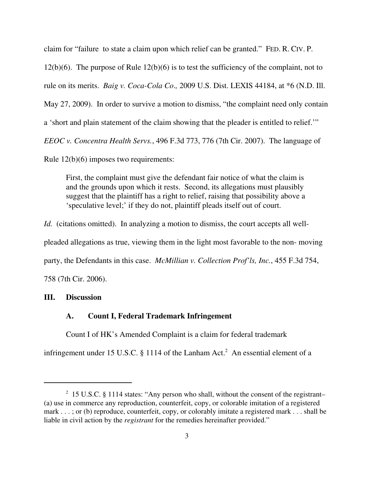claim for "failure to state a claim upon which relief can be granted." FED. R. CIV. P.  $12(b)(6)$ . The purpose of Rule  $12(b)(6)$  is to test the sufficiency of the complaint, not to rule on its merits. *Baig v. Coca-Cola Co*.*,* 2009 U.S. Dist. LEXIS 44184, at \*6 (N.D. Ill. May 27, 2009). In order to survive a motion to dismiss, "the complaint need only contain a 'short and plain statement of the claim showing that the pleader is entitled to relief.'" *EEOC v. Concentra Health Servs.*, 496 F.3d 773, 776 (7th Cir. 2007). The language of

Rule 12(b)(6) imposes two requirements:

First, the complaint must give the defendant fair notice of what the claim is and the grounds upon which it rests. Second, its allegations must plausibly suggest that the plaintiff has a right to relief, raising that possibility above a 'speculative level;' if they do not, plaintiff pleads itself out of court.

*Id.* (citations omitted). In analyzing a motion to dismiss, the court accepts all well-

pleaded allegations as true, viewing them in the light most favorable to the non- moving

party, the Defendants in this case. *McMillian v. Collection Prof'ls, Inc.*, 455 F.3d 754,

758 (7th Cir. 2006).

#### **III. Discussion**

### **A. Count I, Federal Trademark Infringement**

Count I of HK's Amended Complaint is a claim for federal trademark

infringement under 15 U.S.C.  $\S$  1114 of the Lanham Act.<sup>2</sup> An essential element of a

 $2$  15 U.S.C. § 1114 states: "Any person who shall, without the consent of the registrant-(a) use in commerce any reproduction, counterfeit, copy, or colorable imitation of a registered mark . . . ; or (b) reproduce, counterfeit, copy, or colorably imitate a registered mark . . . shall be liable in civil action by the *registrant* for the remedies hereinafter provided."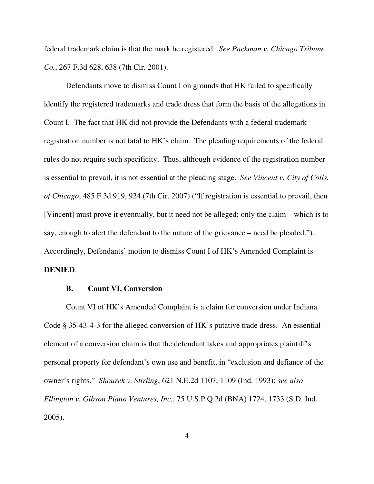federal trademark claim is that the mark be registered. *See Packman v. Chicago Tribune Co.*, 267 F.3d 628, 638 (7th Cir. 2001).

Defendants move to dismiss Count I on grounds that HK failed to specifically identify the registered trademarks and trade dress that form the basis of the allegations in Count I. The fact that HK did not provide the Defendants with a federal trademark registration number is not fatal to HK's claim. The pleading requirements of the federal rules do not require such specificity. Thus, although evidence of the registration number is essential to prevail, it is not essential at the pleading stage. *See Vincent v. City of Colls. of Chicago*, 485 F.3d 919, 924 (7th Cir. 2007) ("If registration is essential to prevail, then [Vincent] must prove it eventually, but it need not be alleged; only the claim – which is to say, enough to alert the defendant to the nature of the grievance – need be pleaded."). Accordingly, Defendants' motion to dismiss Count I of HK's Amended Complaint is **DENIED**.

#### **B. Count VI, Conversion**

Count VI of HK's Amended Complaint is a claim for conversion under Indiana Code § 35-43-4-3 for the alleged conversion of HK's putative trade dress. An essential element of a conversion claim is that the defendant takes and appropriates plaintiff's personal property for defendant's own use and benefit, in "exclusion and defiance of the owner's rights." *Shourek v. Stirling*, 621 N.E.2d 1107, 1109 (Ind. 1993); *see also Ellington v. Gibson Piano Ventures, Inc.*, 75 U.S.P.Q.2d (BNA) 1724, 1733 (S.D. Ind. 2005).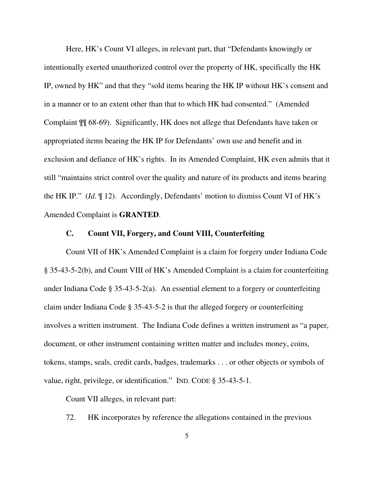Here, HK's Count VI alleges, in relevant part, that "Defendants knowingly or intentionally exerted unauthorized control over the property of HK, specifically the HK IP, owned by HK" and that they "sold items bearing the HK IP without HK's consent and in a manner or to an extent other than that to which HK had consented." (Amended Complaint ¶¶ 68-69). Significantly, HK does not allege that Defendants have taken or appropriated items bearing the HK IP for Defendants' own use and benefit and in exclusion and defiance of HK's rights. In its Amended Complaint, HK even admits that it still "maintains strict control over the quality and nature of its products and items bearing the HK IP." (*Id*. ¶ 12). Accordingly, Defendants' motion to dismiss Count VI of HK's Amended Complaint is **GRANTED**.

# **C. Count VII, Forgery, and Count VIII, Counterfeiting**

Count VII of HK's Amended Complaint is a claim for forgery under Indiana Code § 35-43-5-2(b), and Count VIII of HK's Amended Complaint is a claim for counterfeiting under Indiana Code § 35-43-5-2(a). An essential element to a forgery or counterfeiting claim under Indiana Code § 35-43-5-2 is that the alleged forgery or counterfeiting involves a written instrument. The Indiana Code defines a written instrument as "a paper, document, or other instrument containing written matter and includes money, coins, tokens, stamps, seals, credit cards, badges, trademarks . . . or other objects or symbols of value, right, privilege, or identification." IND. CODE § 35-43-5-1.

Count VII alleges, in relevant part:

72. HK incorporates by reference the allegations contained in the previous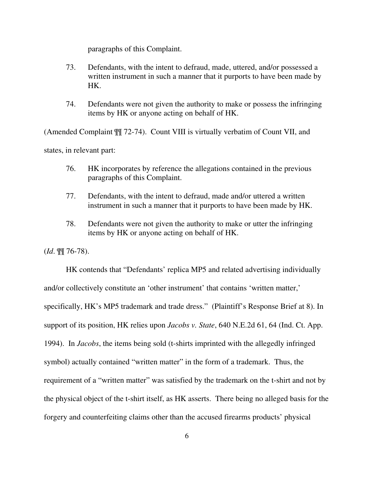paragraphs of this Complaint.

- 73. Defendants, with the intent to defraud, made, uttered, and/or possessed a written instrument in such a manner that it purports to have been made by HK.
- 74. Defendants were not given the authority to make or possess the infringing items by HK or anyone acting on behalf of HK.

(Amended Complaint ¶¶ 72-74). Count VIII is virtually verbatim of Count VII, and states, in relevant part:

- 76. HK incorporates by reference the allegations contained in the previous paragraphs of this Complaint.
- 77. Defendants, with the intent to defraud, made and/or uttered a written instrument in such a manner that it purports to have been made by HK.
- 78. Defendants were not given the authority to make or utter the infringing items by HK or anyone acting on behalf of HK.

(*Id*. ¶¶ 76-78).

HK contends that "Defendants' replica MP5 and related advertising individually and/or collectively constitute an 'other instrument' that contains 'written matter,' specifically, HK's MP5 trademark and trade dress." (Plaintiff's Response Brief at 8). In support of its position, HK relies upon *Jacobs v. State*, 640 N.E.2d 61, 64 (Ind. Ct. App. 1994). In *Jacobs*, the items being sold (t-shirts imprinted with the allegedly infringed symbol) actually contained "written matter" in the form of a trademark. Thus, the requirement of a "written matter" was satisfied by the trademark on the t-shirt and not by the physical object of the t-shirt itself, as HK asserts. There being no alleged basis for the forgery and counterfeiting claims other than the accused firearms products' physical